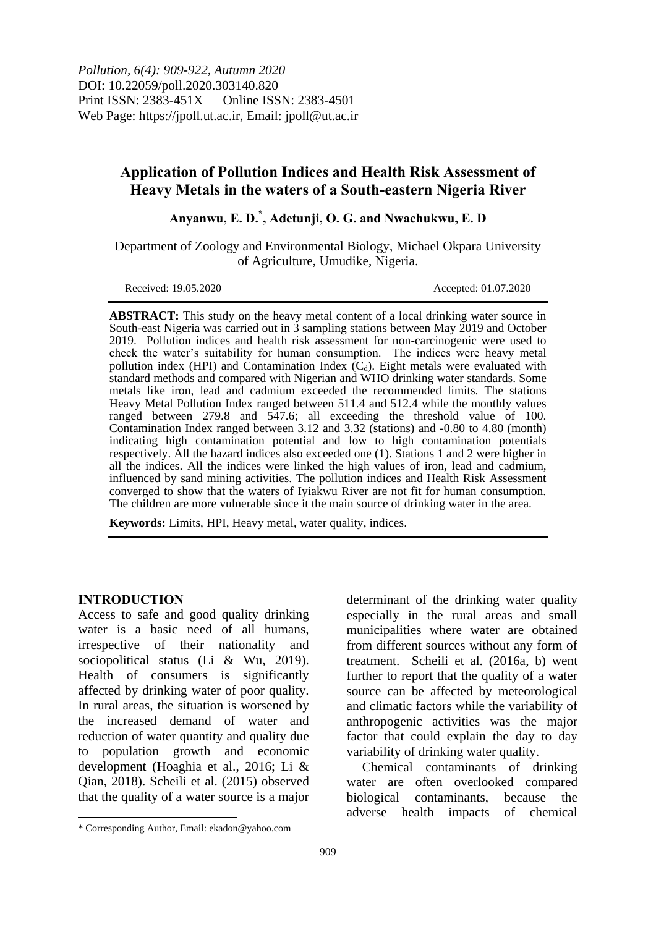*Pollution, 6(4): 909-922, Autumn 2020* DOI: 10.22059/poll.2020.303140.820 Print ISSN: 2383-451X Online ISSN: 2383-4501 Web Page: https://jpoll.ut.ac.ir, Email: jpoll@ut.ac.ir

## **Application of Pollution Indices and Health Risk Assessment of Heavy Metals in the waters of a South-eastern Nigeria River**

# **Anyanwu, E. D.\* , Adetunji, O. G. and Nwachukwu, E. D**

Department of Zoology and Environmental Biology, Michael Okpara University of Agriculture, Umudike, Nigeria.

Received: 19.05.2020 Accepted: 01.07.2020

**ABSTRACT:** This study on the heavy metal content of a local drinking water source in South-east Nigeria was carried out in 3 sampling stations between May 2019 and October 2019. Pollution indices and health risk assessment for non-carcinogenic were used to check the water's suitability for human consumption. The indices were heavy metal pollution index (HPI) and Contamination Index  $(C_d)$ . Eight metals were evaluated with standard methods and compared with Nigerian and WHO drinking water standards. Some metals like iron, lead and cadmium exceeded the recommended limits. The stations Heavy Metal Pollution Index ranged between 511.4 and 512.4 while the monthly values ranged between 279.8 and 547.6; all exceeding the threshold value of 100. Contamination Index ranged between 3.12 and 3.32 (stations) and -0.80 to 4.80 (month) indicating high contamination potential and low to high contamination potentials respectively. All the hazard indices also exceeded one (1). Stations 1 and 2 were higher in all the indices. All the indices were linked the high values of iron, lead and cadmium, influenced by sand mining activities. The pollution indices and Health Risk Assessment converged to show that the waters of Iyiakwu River are not fit for human consumption. The children are more vulnerable since it the main source of drinking water in the area.

**Keywords:** Limits, HPI, Heavy metal, water quality, indices.

#### **INTRODUCTION**

1

Access to safe and good quality drinking water is a basic need of all humans, irrespective of their nationality and sociopolitical status (Li & Wu, 2019). Health of consumers is significantly affected by drinking water of poor quality. In rural areas, the situation is worsened by the increased demand of water and reduction of water quantity and quality due to population growth and economic development (Hoaghia et al., 2016; Li & Qian, 2018). Scheili et al. (2015) observed that the quality of a water source is a major

determinant of the drinking water quality especially in the rural areas and small municipalities where water are obtained from different sources without any form of treatment. Scheili et al. (2016a, b) went further to report that the quality of a water source can be affected by meteorological and climatic factors while the variability of anthropogenic activities was the major factor that could explain the day to day variability of drinking water quality.

Chemical contaminants of drinking water are often overlooked compared biological contaminants, because the adverse health impacts of chemical

<sup>\*</sup> Corresponding Author, Email: ekadon@yahoo.com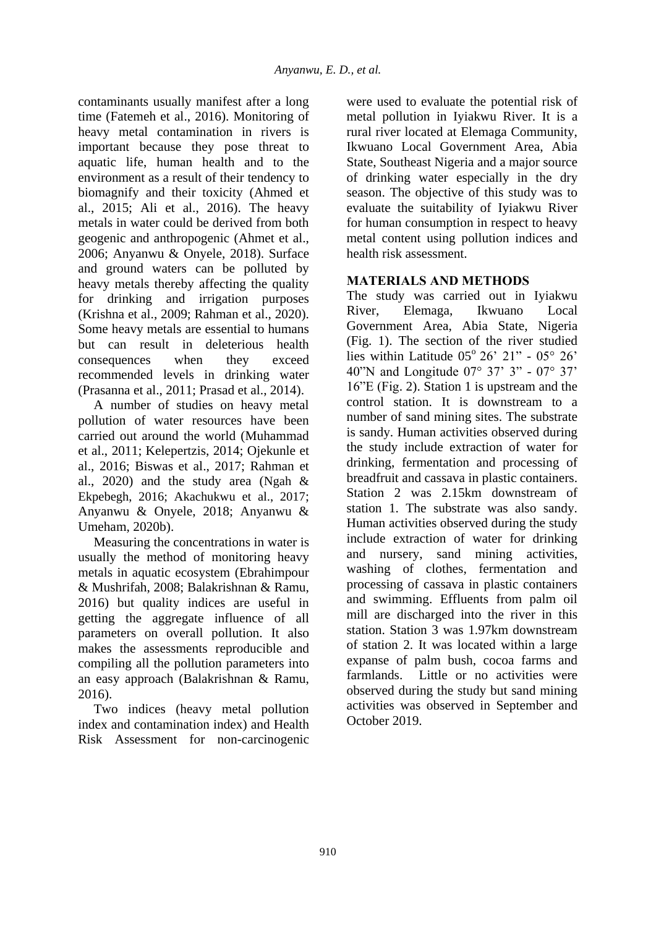contaminants usually manifest after a long time (Fatemeh et al., 2016). Monitoring of heavy metal contamination in rivers is important because they pose threat to aquatic life, human health and to the environment as a result of their tendency to biomagnify and their toxicity (Ahmed et al., 2015; Ali et al., 2016). The heavy metals in water could be derived from both geogenic and anthropogenic (Ahmet et al., 2006; Anyanwu & Onyele, 2018). Surface and ground waters can be polluted by heavy metals thereby affecting the quality for drinking and irrigation purposes (Krishna et al., 2009; Rahman et al., 2020). Some heavy metals are essential to humans but can result in deleterious health consequences when they exceed recommended levels in drinking water (Prasanna et al., 2011; Prasad et al., 2014).

A number of studies on heavy metal pollution of water resources have been carried out around the world (Muhammad et al., 2011; Kelepertzis, 2014; Ojekunle et al., 2016; Biswas et al., 2017; Rahman et al., 2020) and the study area (Ngah & Ekpebegh, 2016; Akachukwu et al., 2017; Anyanwu & Onyele, 2018; Anyanwu & Umeham, 2020b).

Measuring the concentrations in water is usually the method of monitoring heavy metals in aquatic ecosystem (Ebrahimpour & Mushrifah, 2008; Balakrishnan & Ramu, 2016) but quality indices are useful in getting the aggregate influence of all parameters on overall pollution. It also makes the assessments reproducible and compiling all the pollution parameters into an easy approach (Balakrishnan & Ramu, 2016).

Two indices (heavy metal pollution index and contamination index) and Health Risk Assessment for non-carcinogenic were used to evaluate the potential risk of metal pollution in Iyiakwu River. It is a rural river located at Elemaga Community, Ikwuano Local Government Area, Abia State, Southeast Nigeria and a major source of drinking water especially in the dry season. The objective of this study was to evaluate the suitability of Iyiakwu River for human consumption in respect to heavy metal content using pollution indices and health risk assessment.

### **MATERIALS AND METHODS**

The study was carried out in Iyiakwu River, Elemaga, Ikwuano Local Government Area, Abia State, Nigeria (Fig. 1). The section of the river studied lies within Latitude  $05^{\circ}$  26' 21" -  $05^{\circ}$  26' 40"N and Longitude 07° 37' 3" - 07° 37' 16"E (Fig. 2). Station 1 is upstream and the control station. It is downstream to a number of sand mining sites. The substrate is sandy. Human activities observed during the study include extraction of water for drinking, fermentation and processing of breadfruit and cassava in plastic containers. Station 2 was 2.15km downstream of station 1. The substrate was also sandy. Human activities observed during the study include extraction of water for drinking and nursery, sand mining activities, washing of clothes, fermentation and processing of cassava in plastic containers and swimming. Effluents from palm oil mill are discharged into the river in this station. Station 3 was 1.97km downstream of station 2. It was located within a large expanse of palm bush, cocoa farms and farmlands. Little or no activities were observed during the study but sand mining activities was observed in September and October 2019.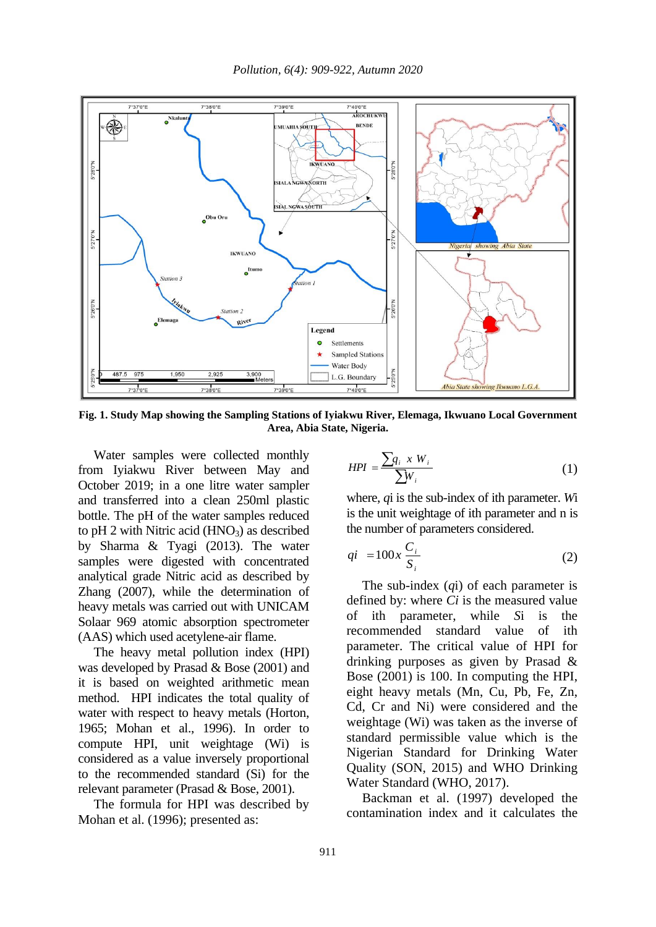

**Fig. 1. Study Map showing the Sampling Stations of Iyiakwu River, Elemaga, Ikwuano Local Government Area, Abia State, Nigeria.**

Water samples were collected monthly from Iyiakwu River between May and October 2019; in a one litre water sampler and transferred into a clean 250ml plastic bottle. The pH of the water samples reduced to pH 2 with Nitric acid  $(HNO<sub>3</sub>)$  as described by Sharma & Tyagi (2013). The water samples were digested with concentrated analytical grade Nitric acid as described by Zhang (2007), while the determination of heavy metals was carried out with UNICAM Solaar 969 atomic absorption spectrometer (AAS) which used acetylene-air flame.

The heavy metal pollution index (HPI) was developed by Prasad & Bose (2001) and it is based on weighted arithmetic mean method. HPI indicates the total quality of water with respect to heavy metals (Horton, 1965; Mohan et al., 1996). In order to compute HPI, unit weightage (Wi) is considered as a value inversely proportional to the recommended standard (Si) for the relevant parameter (Prasad & Bose, 2001).

The formula for HPI was described by Mohan et al. (1996); presented as:

$$
HPI = \frac{\sum q_i \; x \; W_i}{\sum W_i} \tag{1}
$$

where, *q*i is the sub-index of ith parameter. *W*i is the unit weightage of ith parameter and n is the number of parameters considered.

$$
qi = 100x \frac{C_i}{S_i}
$$
 (2)

The sub-index (*q*i) of each parameter is defined by: where *Ci* is the measured value of ith parameter, while *S*i is the recommended standard value of ith parameter. The critical value of HPI for drinking purposes as given by Prasad & Bose (2001) is 100. In computing the HPI, eight heavy metals (Mn, Cu, Pb, Fe, Zn, Cd, Cr and Ni) were considered and the weightage (Wi) was taken as the inverse of standard permissible value which is the Nigerian Standard for Drinking Water Quality (SON, 2015) and WHO Drinking Water Standard (WHO, 2017).

Backman et al. (1997) developed the contamination index and it calculates the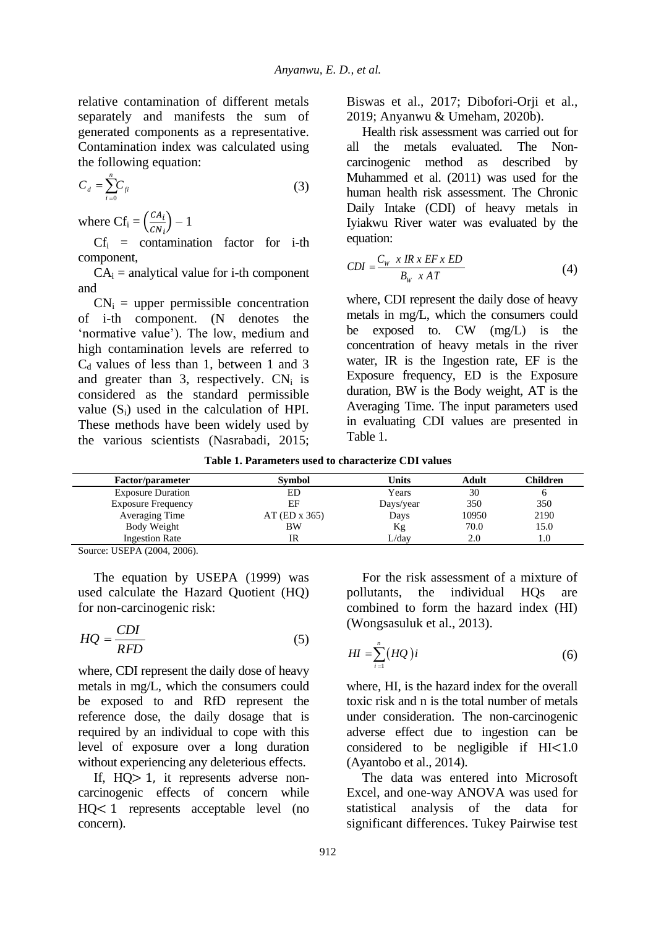relative contamination of different metals separately and manifests the sum of generated components as a representative. Contamination index was calculated using the following equation:

$$
C_d = \sum_{i=0}^{n} C_{fi} \tag{3}
$$

where  $Cf_i = \left(\frac{CA_i}{CM}\right)$  $\frac{c_{i}}{c_{i}}$  – 1

 $Cf_i$  = contamination factor for i-th component,

 $CA_i$  = analytical value for i-th component and

 $CN_i$  = upper permissible concentration of i-th component. (N denotes the 'normative value'). The low, medium and high contamination levels are referred to  $C_d$  values of less than 1, between 1 and 3 and greater than 3, respectively.  $CN_i$  is considered as the standard permissible value  $(S_i)$  used in the calculation of HPI. These methods have been widely used by the various scientists (Nasrabadi, 2015; Biswas et al., 2017; Dibofori-Orji et al., 2019; Anyanwu & Umeham, 2020b).

Health risk assessment was carried out for all the metals evaluated. The Noncarcinogenic method as described by Muhammed et al. (2011) was used for the human health risk assessment. The Chronic Daily Intake (CDI) of heavy metals in Iyiakwu River water was evaluated by the equation:

$$
CDI = \frac{C_w \times IR \times EF \times ED}{B_w \times AT}
$$
 (4)

where, CDI represent the daily dose of heavy metals in mg/L, which the consumers could be exposed to. CW (mg/L) is the concentration of heavy metals in the river water, IR is the Ingestion rate, EF is the Exposure frequency, ED is the Exposure duration, BW is the Body weight, AT is the Averaging Time. The input parameters used in evaluating CDI values are presented in Table 1.

**Table 1. Parameters used to characterize CDI values**

| <b>Factor/parameter</b>   | <b>Symbol</b>   | Units     | Adult | Children |  |
|---------------------------|-----------------|-----------|-------|----------|--|
| <b>Exposure Duration</b>  | ED              | Years     | 30    |          |  |
| <b>Exposure Frequency</b> | EF              | Days/year | 350   | 350      |  |
| Averaging Time            | $AT$ (ED x 365) | Days      | 10950 | 2190     |  |
| Body Weight               | <b>BW</b>       | Κg        | 70.0  | 15.0     |  |
| <b>Ingestion Rate</b>     | IR              | L/dav     | 2.0   | 1.0      |  |
|                           |                 |           |       |          |  |

Source: USEPA (2004, 2006).

The equation by USEPA (1999) was used calculate the Hazard Quotient (HQ) for non-carcinogenic risk:

$$
HQ = \frac{CDI}{RFD} \tag{5}
$$

where, CDI represent the daily dose of heavy metals in mg/L, which the consumers could be exposed to and RfD represent the reference dose, the daily dosage that is required by an individual to cope with this level of exposure over a long duration without experiencing any deleterious effects.

If, HQ> 1, it represents adverse noncarcinogenic effects of concern while HQ< 1 represents acceptable level (no concern).

For the risk assessment of a mixture of pollutants, the individual HQs are combined to form the hazard index (HI) (Wongsasuluk et al., 2013).

$$
HI = \sum_{i=1}^{n} (HQ)i
$$
 (6)

where, HI, is the hazard index for the overall toxic risk and n is the total number of metals under consideration. The non-carcinogenic adverse effect due to ingestion can be considered to be negligible if HI<1.0 (Ayantobo et al., 2014).

The data was entered into Microsoft Excel, and one-way ANOVA was used for statistical analysis of the data for significant differences. Tukey Pairwise test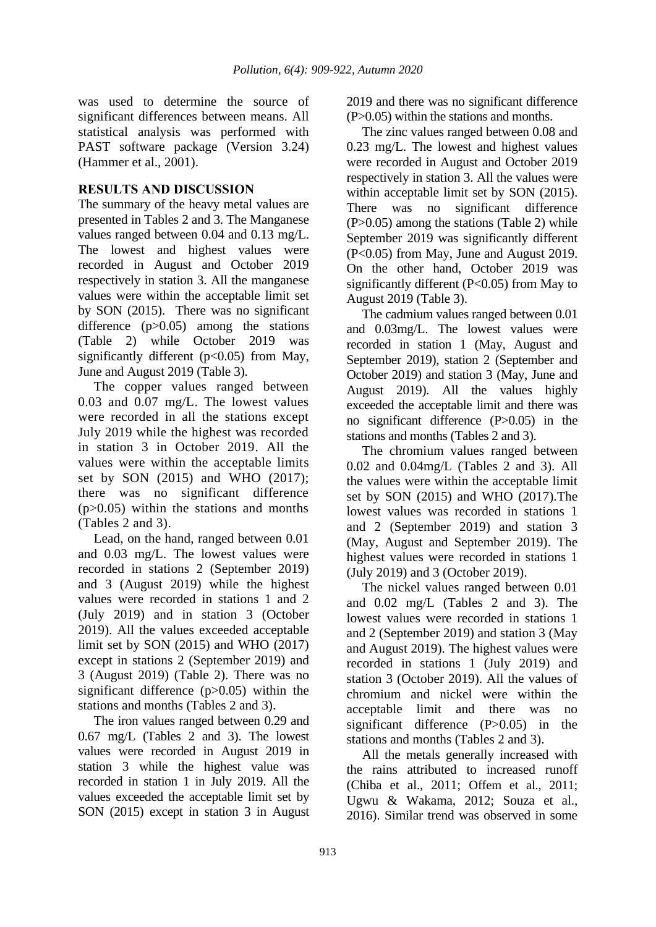was used to determine the source of significant differences between means. All statistical analysis was performed with PAST software package (Version 3.24) (Hammer et al., 2001).

### **RESULTS AND DISCUSSION**

The summary of the heavy metal values are presented in Tables 2 and 3. The Manganese values ranged between 0.04 and 0.13 mg/L. The lowest and highest values were recorded in August and October 2019 respectively in station 3. All the manganese values were within the acceptable limit set by SON (2015). There was no significant difference (p>0.05) among the stations (Table 2) while October 2019 was significantly different  $(p<0.05)$  from May, June and August 2019 (Table 3).

The copper values ranged between 0.03 and 0.07 mg/L. The lowest values were recorded in all the stations except July 2019 while the highest was recorded in station 3 in October 2019. All the values were within the acceptable limits set by SON (2015) and WHO (2017); there was no significant difference  $(p>0.05)$  within the stations and months (Tables 2 and 3).

Lead, on the hand, ranged between 0.01 and 0.03 mg/L. The lowest values were recorded in stations 2 (September 2019) and 3 (August 2019) while the highest values were recorded in stations 1 and 2 (July 2019) and in station 3 (October 2019). All the values exceeded acceptable limit set by SON (2015) and WHO (2017) except in stations 2 (September 2019) and 3 (August 2019) (Table 2). There was no significant difference (p>0.05) within the stations and months (Tables 2 and 3).

The iron values ranged between 0.29 and 0.67 mg/L (Tables 2 and 3). The lowest values were recorded in August 2019 in station 3 while the highest value was recorded in station 1 in July 2019. All the values exceeded the acceptable limit set by SON (2015) except in station 3 in August

2019 and there was no significant difference (P>0.05) within the stations and months.

The zinc values ranged between 0.08 and 0.23 mg/L. The lowest and highest values were recorded in August and October 2019 respectively in station 3. All the values were within acceptable limit set by SON (2015). There was no significant difference (P>0.05) among the stations (Table 2) while September 2019 was significantly different (P<0.05) from May, June and August 2019. On the other hand, October 2019 was significantly different  $(P<0.05)$  from May to August 2019 (Table 3).

The cadmium values ranged between 0.01 and 0.03mg/L. The lowest values were recorded in station 1 (May, August and September 2019), station 2 (September and October 2019) and station 3 (May, June and August 2019). All the values highly exceeded the acceptable limit and there was no significant difference (P>0.05) in the stations and months (Tables 2 and 3).

The chromium values ranged between 0.02 and 0.04mg/L (Tables 2 and 3). All the values were within the acceptable limit set by SON (2015) and WHO (2017).The lowest values was recorded in stations 1 and 2 (September 2019) and station 3 (May, August and September 2019). The highest values were recorded in stations 1 (July 2019) and 3 (October 2019).

The nickel values ranged between 0.01 and 0.02 mg/L (Tables 2 and 3). The lowest values were recorded in stations 1 and 2 (September 2019) and station 3 (May and August 2019). The highest values were recorded in stations 1 (July 2019) and station 3 (October 2019). All the values of chromium and nickel were within the acceptable limit and there was no significant difference (P>0.05) in the stations and months (Tables 2 and 3).

All the metals generally increased with the rains attributed to increased runoff (Chiba et al., 2011; Offem et al., 2011; Ugwu & Wakama, 2012; Souza et al., 2016). Similar trend was observed in some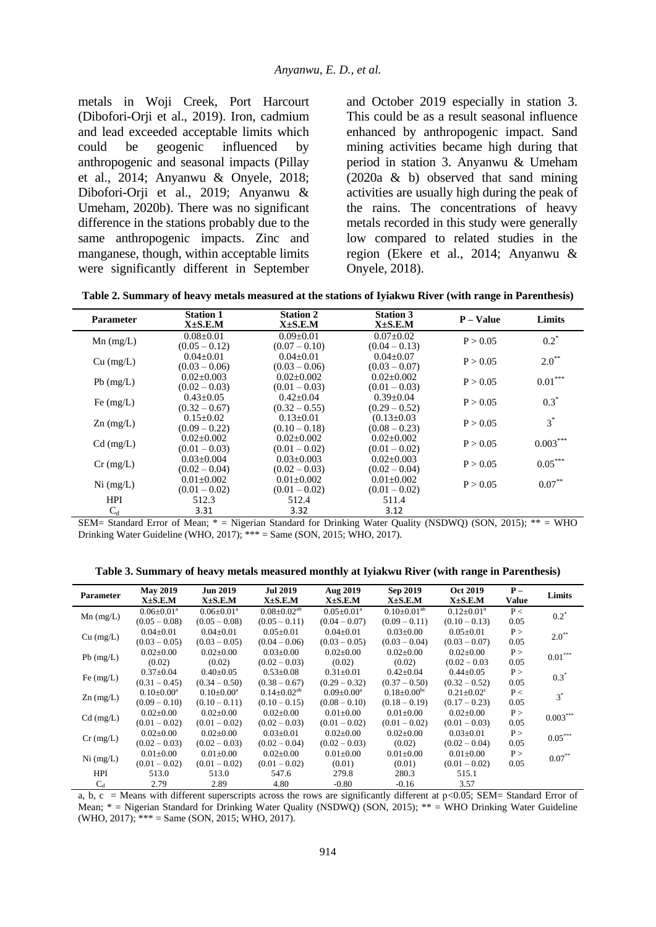metals in Woji Creek, Port Harcourt (Dibofori-Orji et al., 2019). Iron, cadmium and lead exceeded acceptable limits which could be geogenic influenced by anthropogenic and seasonal impacts (Pillay et al., 2014; Anyanwu & Onyele, 2018; Dibofori-Orji et al., 2019; Anyanwu & Umeham, 2020b). There was no significant difference in the stations probably due to the same anthropogenic impacts. Zinc and manganese, though, within acceptable limits were significantly different in September and October 2019 especially in station 3. This could be as a result seasonal influence enhanced by anthropogenic impact. Sand mining activities became high during that period in station 3. Anyanwu & Umeham (2020a & b) observed that sand mining activities are usually high during the peak of the rains. The concentrations of heavy metals recorded in this study were generally low compared to related studies in the region (Ekere et al., 2014; Anyanwu & Onyele, 2018).

**Table 2. Summary of heavy metals measured at the stations of Iyiakwu River (with range in Parenthesis)**

| <b>Parameter</b> | <b>Station 1</b><br>$X\pm S.E.M$                   | <b>Station 2</b><br>$X \pm S.E.M$                  | <b>Station 3</b><br>X±S.E.M                          | $P - Value$ | Limits     |
|------------------|----------------------------------------------------|----------------------------------------------------|------------------------------------------------------|-------------|------------|
| $Mn$ (mg/L)      | $0.08 + 0.01$<br>$(0.05 - 0.12)$                   | $0.09 + 0.01$<br>$(0.07 - 0.10)$                   | $0.07 \pm 0.02$<br>$(0.04 - 0.13)$                   | P > 0.05    | $0.2^*$    |
| $Cu$ (mg/L)      | $0.04 + 0.01$<br>$(0.03 - 0.06)$                   | $0.04 + 0.01$<br>$(0.03 - 0.06)$                   | $0.04 + 0.07$<br>$(0.03 - 0.07)$                     | P > 0.05    | $2.0^{**}$ |
| $Pb$ (mg/L)      | $0.02 + 0.003$<br>$(0.02 - 0.03)$                  | $0.02+0.002$<br>$(0.01 - 0.03)$                    | $0.02 + 0.002$<br>$(0.01 - 0.03)$                    | P > 0.05    | $0.01***$  |
| Fe $(mg/L)$      | $0.43 + 0.05$<br>$(0.32 - 0.67)$                   | $0.42 + 0.04$<br>$(0.32 - 0.55)$                   | $0.39 + 0.04$<br>$(0.29 - 0.52)$                     | P > 0.05    | $0.3*$     |
| $Zn$ (mg/L)      | $0.15 \pm 0.02$                                    | $0.13 \pm 0.01$                                    | $(0.13 \pm 0.03)$                                    | P > 0.05    | $3^*$      |
| $Cd$ (mg/L)      | $(0.09 - 0.22)$<br>$0.02+0.002$<br>$(0.01 - 0.03)$ | $(0.10 - 0.18)$<br>$0.02+0.002$<br>$(0.01 - 0.02)$ | $(0.08 - 0.23)$<br>$0.02 + 0.002$<br>$(0.01 - 0.02)$ | P > 0.05    | $0.003***$ |
| $Cr$ (mg/L)      | $0.03 \pm 0.004$<br>$(0.02 - 0.04)$                | $0.03 \pm 0.003$<br>$(0.02 - 0.03)$                | $0.02 \pm 0.003$<br>$(0.02 - 0.04)$                  | P > 0.05    | $0.05***$  |
| $Ni$ (mg/L)      | $0.01 \pm 0.002$<br>$(0.01 - 0.02)$                | $0.01 \pm 0.002$<br>$(0.01 - 0.02)$                | $0.01 \pm 0.002$<br>$(0.01 - 0.02)$                  | P > 0.05    | $0.07***$  |
| <b>HPI</b>       | 512.3                                              | 512.4                                              | 511.4                                                |             |            |
| $C_d$            | 3.31                                               | 3.32                                               | 3.12                                                 |             |            |

SEM= Standard Error of Mean; \* = Nigerian Standard for Drinking Water Quality (NSDWQ) (SON, 2015); \*\* = WHO Drinking Water Guideline (WHO, 2017); \*\*\* = Same (SON, 2015; WHO, 2017).

**Table 3. Summary of heavy metals measured monthly at Iyiakwu River (with range in Parenthesis)**

| <b>Parameter</b> | <b>May 2019</b><br>$X\pm S.E.M$ | <b>Jun 2019</b><br>$X\pm S.E.M$ | <b>Jul 2019</b><br>$X\pm S.E.M$ | Aug 2019<br>$X\pm S.E.M$ | Sep 2019<br>$X\pm S.E.M$ | <b>Oct 2019</b><br>$X\pm S.E.M$ | $P -$<br>Value | Limits     |
|------------------|---------------------------------|---------------------------------|---------------------------------|--------------------------|--------------------------|---------------------------------|----------------|------------|
| $Mn$ (mg/L)      | $0.06 \pm 0.01$ <sup>a</sup>    | $0.06 \pm 0.01$ <sup>a</sup>    | $0.08 \pm 0.02$ <sup>ab</sup>   | $0.05 \pm 0.01^a$        | $0.10\pm0.01^{ab}$       | $0.12 \pm 0.01^b$               | P<             | $0.2^*$    |
|                  | $(0.05 - 0.08)$                 | $(0.05 - 0.08)$                 | $(0.05 - 0.11)$                 | $(0.04 - 0.07)$          | $(0.09 - 0.11)$          | $(0.10 - 0.13)$                 | 0.05           |            |
|                  | $0.04 \pm 0.01$                 | $0.04 \pm 0.01$                 | $0.05 \pm 0.01$                 | $0.04 \pm 0.01$          | $0.03 \pm 0.00$          | $0.05 \pm 0.01$                 | P >            | $2.0^{**}$ |
| $Cu$ (mg/L)      | $(0.03 - 0.05)$                 | $(0.03 - 0.05)$                 | $(0.04 - 0.06)$                 | $(0.03 - 0.05)$          | $(0.03 - 0.04)$          | $(0.03 - 0.07)$                 | 0.05           |            |
| $Pb$ (mg/L)      | $0.02 \pm 0.00$                 | $0.02 \pm 0.00$                 | $0.03 \pm 0.00$                 | $0.02 \pm 0.00$          | $0.02 \pm 0.00$          | $0.02 \pm 0.00$                 | P >            | $0.01***$  |
|                  | (0.02)                          | (0.02)                          | $(0.02 - 0.03)$                 | (0.02)                   | (0.02)                   | $(0.02 - 0.03)$                 | 0.05           |            |
|                  | $0.37 \pm 0.04$                 | $0.40 \pm 0.05$                 | $0.53 \pm 0.08$                 | $0.31 \pm 0.01$          | $0.42{\pm}0.04$          | $0.44 \pm 0.05$                 | P >            | $0.3^*$    |
| Fe $(mg/L)$      | $(0.31 - 0.45)$                 | $(0.34 - 0.50)$                 | $(0.38 - 0.67)$                 | $(0.29 - 0.32)$          | $(0.37 - 0.50)$          | $(0.32 - 0.52)$                 | 0.05           |            |
|                  | $0.10 \pm 0.00^a$               | $0.10 \pm 0.00^a$               | $0.14 \pm 0.02$ <sup>ab</sup>   | $0.09 \pm 0.00^a$        | $0.18 \pm 0.00^{\rm bc}$ | $0.21 \pm 0.02$ <sup>c</sup>    | P<             | $3^*$      |
| $Zn$ (mg/L)      | $(0.09 - 0.10)$                 | $(0.10 - 0.11)$                 | $(0.10 - 0.15)$                 | $(0.08 - 0.10)$          | $(0.18 - 0.19)$          | $(0.17 - 0.23)$                 | 0.05           |            |
|                  | $0.02 \pm 0.00$                 | $0.02 \pm 0.00$                 | $0.02{\pm}0.00$                 | $0.01 \pm 0.00$          | $0.01 \pm 0.00$          | $0.02 \pm 0.00$                 | P >            | $0.003***$ |
| $Cd$ (mg/L)      | $(0.01 - 0.02)$                 | $(0.01 - 0.02)$                 | $(0.02 - 0.03)$                 | $(0.01 - 0.02)$          | $(0.01 - 0.02)$          | $(0.01 - 0.03)$                 | 0.05           |            |
|                  | $0.02+0.00$                     | $0.02+0.00$                     | $0.03 \pm 0.01$                 | $0.02 \pm 0.00$          | $0.02 \pm 0.00$          | $0.03 \pm 0.01$                 | P >            | $0.05***$  |
| $Cr$ (mg/L)      | $(0.02 - 0.03)$                 | $(0.02 - 0.03)$                 | $(0.02 - 0.04)$                 | $(0.02 - 0.03)$          | (0.02)                   | $(0.02 - 0.04)$                 | 0.05           |            |
|                  | $0.01 \pm 0.00$                 | $0.01 \pm 0.00$                 | $0.02 \pm 0.00$                 | $0.01 \pm 0.00$          | $0.01 \pm 0.00$          | $0.01 \pm 0.00$                 | P >            | $0.07***$  |
| $Ni$ (mg/L)      | $(0.01 - 0.02)$                 | $(0.01 - 0.02)$                 | $(0.01 - 0.02)$                 | (0.01)                   | (0.01)                   | $(0.01 - 0.02)$                 | 0.05           |            |
| <b>HPI</b>       | 513.0                           | 513.0                           | 547.6                           | 279.8                    | 280.3                    | 515.1                           |                |            |
| $C_d$            | 2.79                            | 2.89                            | 4.80                            | $-0.80$                  | $-0.16$                  | 3.57                            |                |            |

a, b, c = Means with different superscripts across the rows are significantly different at  $p$ <0.05; SEM= Standard Error of Mean; \* = Nigerian Standard for Drinking Water Quality (NSDWQ) (SON, 2015); \*\* = WHO Drinking Water Guideline (WHO, 2017); \*\*\* = Same (SON, 2015; WHO, 2017).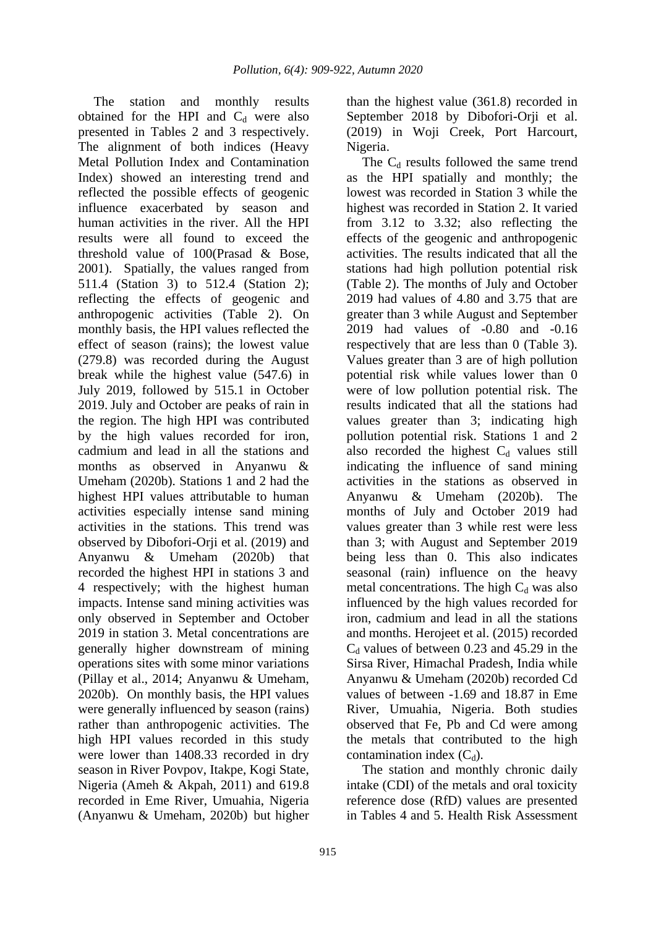The station and monthly results obtained for the HPI and  $C_d$  were also presented in Tables 2 and 3 respectively. The alignment of both indices (Heavy Metal Pollution Index and Contamination Index) showed an interesting trend and reflected the possible effects of geogenic influence exacerbated by season and human activities in the river. All the HPI results were all found to exceed the threshold value of 100(Prasad & Bose, 2001). Spatially, the values ranged from 511.4 (Station 3) to 512.4 (Station 2); reflecting the effects of geogenic and anthropogenic activities (Table 2). On monthly basis, the HPI values reflected the effect of season (rains); the lowest value (279.8) was recorded during the August break while the highest value (547.6) in July 2019, followed by 515.1 in October 2019. July and October are peaks of rain in the region. The high HPI was contributed by the high values recorded for iron, cadmium and lead in all the stations and months as observed in Anyanwu & Umeham (2020b). Stations 1 and 2 had the highest HPI values attributable to human activities especially intense sand mining activities in the stations. This trend was observed by Dibofori-Orji et al. (2019) and Anyanwu & Umeham (2020b) that recorded the highest HPI in stations 3 and 4 respectively; with the highest human impacts. Intense sand mining activities was only observed in September and October 2019 in station 3. Metal concentrations are generally higher downstream of mining operations sites with some minor variations (Pillay et al., 2014; Anyanwu & Umeham, 2020b). On monthly basis, the HPI values were generally influenced by season (rains) rather than anthropogenic activities. The high HPI values recorded in this study were lower than 1408.33 recorded in dry season in River Povpov, Itakpe, Kogi State, Nigeria (Ameh & Akpah, 2011) and 619.8 recorded in Eme River, Umuahia, Nigeria (Anyanwu & Umeham, 2020b) but higher than the highest value (361.8) recorded in September 2018 by Dibofori-Orji et al. (2019) in Woji Creek, Port Harcourt, Nigeria.

The  $C_d$  results followed the same trend as the HPI spatially and monthly; the lowest was recorded in Station 3 while the highest was recorded in Station 2. It varied from 3.12 to 3.32; also reflecting the effects of the geogenic and anthropogenic activities. The results indicated that all the stations had high pollution potential risk (Table 2). The months of July and October 2019 had values of 4.80 and 3.75 that are greater than 3 while August and September 2019 had values of -0.80 and -0.16 respectively that are less than 0 (Table 3). Values greater than 3 are of high pollution potential risk while values lower than 0 were of low pollution potential risk. The results indicated that all the stations had values greater than 3; indicating high pollution potential risk. Stations 1 and 2 also recorded the highest  $C_d$  values still indicating the influence of sand mining activities in the stations as observed in Anyanwu & Umeham (2020b). The months of July and October 2019 had values greater than 3 while rest were less than 3; with August and September 2019 being less than 0. This also indicates seasonal (rain) influence on the heavy metal concentrations. The high  $C_d$  was also influenced by the high values recorded for iron, cadmium and lead in all the stations and months. Herojeet et al. (2015) recorded  $C_d$  values of between 0.23 and 45.29 in the Sirsa River, Himachal Pradesh, India while Anyanwu & Umeham (2020b) recorded Cd values of between -1.69 and 18.87 in Eme River, Umuahia, Nigeria. Both studies observed that Fe, Pb and Cd were among the metals that contributed to the high contamination index  $(C_d)$ .

The station and monthly chronic daily intake (CDI) of the metals and oral toxicity reference dose (RfD) values are presented in Tables 4 and 5. Health Risk Assessment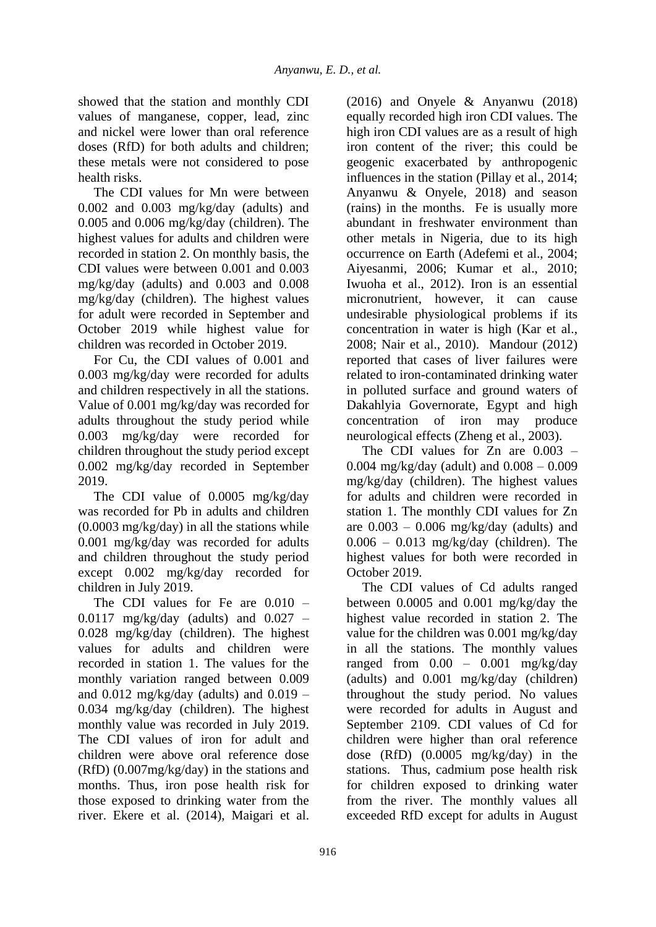showed that the station and monthly CDI values of manganese, copper, lead, zinc and nickel were lower than oral reference doses (RfD) for both adults and children; these metals were not considered to pose health risks.

The CDI values for Mn were between 0.002 and 0.003 mg/kg/day (adults) and 0.005 and 0.006 mg/kg/day (children). The highest values for adults and children were recorded in station 2. On monthly basis, the CDI values were between 0.001 and 0.003 mg/kg/day (adults) and 0.003 and 0.008 mg/kg/day (children). The highest values for adult were recorded in September and October 2019 while highest value for children was recorded in October 2019.

For Cu, the CDI values of 0.001 and 0.003 mg/kg/day were recorded for adults and children respectively in all the stations. Value of 0.001 mg/kg/day was recorded for adults throughout the study period while 0.003 mg/kg/day were recorded for children throughout the study period except 0.002 mg/kg/day recorded in September 2019.

The CDI value of 0.0005 mg/kg/day was recorded for Pb in adults and children (0.0003 mg/kg/day) in all the stations while 0.001 mg/kg/day was recorded for adults and children throughout the study period except 0.002 mg/kg/day recorded for children in July 2019.

The CDI values for Fe are 0.010 –  $0.0117$  mg/kg/day (adults) and  $0.027$  – 0.028 mg/kg/day (children). The highest values for adults and children were recorded in station 1. The values for the monthly variation ranged between 0.009 and  $0.012 \text{ mg/kg/day}$  (adults) and  $0.019 -$ 0.034 mg/kg/day (children). The highest monthly value was recorded in July 2019. The CDI values of iron for adult and children were above oral reference dose (RfD) (0.007mg/kg/day) in the stations and months. Thus, iron pose health risk for those exposed to drinking water from the river. Ekere et al. (2014), Maigari et al.

(2016) and Onyele & Anyanwu (2018) equally recorded high iron CDI values. The high iron CDI values are as a result of high iron content of the river; this could be geogenic exacerbated by anthropogenic influences in the station (Pillay et al., 2014; Anyanwu & Onyele, 2018) and season (rains) in the months. Fe is usually more abundant in freshwater environment than other metals in Nigeria, due to its high occurrence on Earth (Adefemi et al., 2004; Aiyesanmi, 2006; Kumar et al., 2010; Iwuoha et al., 2012). Iron is an essential micronutrient, however, it can cause undesirable physiological problems if its concentration in water is high (Kar et al., 2008; Nair et al., 2010). Mandour (2012) reported that cases of liver failures were related to iron-contaminated drinking water in polluted surface and ground waters of Dakahlyia Governorate, Egypt and high concentration of iron may produce neurological effects (Zheng et al., 2003).

The CDI values for  $Zn$  are  $0.003$  – 0.004 mg/kg/day (adult) and 0.008 – 0.009 mg/kg/day (children). The highest values for adults and children were recorded in station 1. The monthly CDI values for Zn are  $0.003 - 0.006$  mg/kg/day (adults) and  $0.006 - 0.013$  mg/kg/day (children). The highest values for both were recorded in October 2019.

The CDI values of Cd adults ranged between 0.0005 and 0.001 mg/kg/day the highest value recorded in station 2. The value for the children was 0.001 mg/kg/day in all the stations. The monthly values ranged from  $0.00 - 0.001$  mg/kg/day (adults) and 0.001 mg/kg/day (children) throughout the study period. No values were recorded for adults in August and September 2109. CDI values of Cd for children were higher than oral reference dose (RfD) (0.0005 mg/kg/day) in the stations. Thus, cadmium pose health risk for children exposed to drinking water from the river. The monthly values all exceeded RfD except for adults in August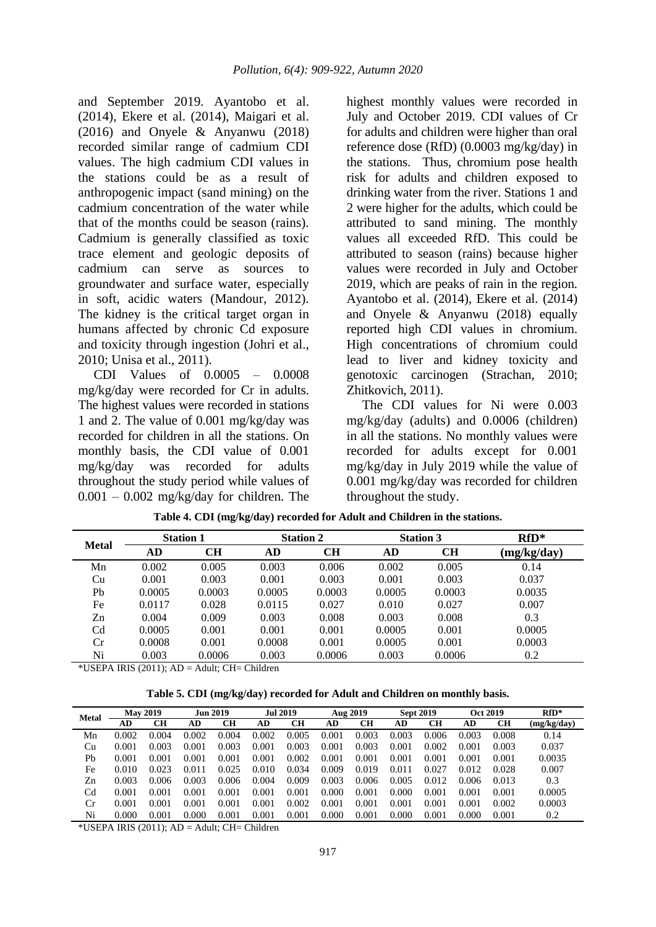and September 2019. Ayantobo et al. (2014), Ekere et al. (2014), Maigari et al. (2016) and Onyele & Anyanwu (2018) recorded similar range of cadmium CDI values. The high cadmium CDI values in the stations could be as a result of anthropogenic impact (sand mining) on the cadmium concentration of the water while that of the months could be season (rains). Cadmium is generally classified as toxic trace element and geologic deposits of cadmium can serve as sources to groundwater and surface water, especially in soft, acidic waters (Mandour, 2012). The kidney is the critical target organ in humans affected by chronic Cd exposure and toxicity through ingestion (Johri et al., 2010; Unisa et al., 2011).

CDI Values of 0.0005 – 0.0008 mg/kg/day were recorded for Cr in adults. The highest values were recorded in stations 1 and 2. The value of 0.001 mg/kg/day was recorded for children in all the stations. On monthly basis, the CDI value of 0.001 mg/kg/day was recorded for adults throughout the study period while values of  $0.001 - 0.002$  mg/kg/day for children. The

highest monthly values were recorded in July and October 2019. CDI values of Cr for adults and children were higher than oral reference dose (RfD) (0.0003 mg/kg/day) in the stations. Thus, chromium pose health risk for adults and children exposed to drinking water from the river. Stations 1 and 2 were higher for the adults, which could be attributed to sand mining. The monthly values all exceeded RfD. This could be attributed to season (rains) because higher values were recorded in July and October 2019, which are peaks of rain in the region. Ayantobo et al. (2014), Ekere et al. (2014) and Onyele & Anyanwu (2018) equally reported high CDI values in chromium. High concentrations of chromium could lead to liver and kidney toxicity and genotoxic carcinogen (Strachan, 2010; Zhitkovich, 2011).

The CDI values for Ni were 0.003 mg/kg/day (adults) and 0.0006 (children) in all the stations. No monthly values were recorded for adults except for 0.001 mg/kg/day in July 2019 while the value of 0.001 mg/kg/day was recorded for children throughout the study.

| <b>Metal</b>   | <b>Station 1</b> |        |        | <b>Station 2</b> |        | <b>Station 3</b> | $RfD*$      |
|----------------|------------------|--------|--------|------------------|--------|------------------|-------------|
|                | AD               | CН     | AD     | CН               | AD     | <b>CH</b>        | (mg/kg/day) |
| Mn             | 0.002            | 0.005  | 0.003  | 0.006            | 0.002  | 0.005            | 0.14        |
| Cu             | 0.001            | 0.003  | 0.001  | 0.003            | 0.001  | 0.003            | 0.037       |
| Pb             | 0.0005           | 0.0003 | 0.0005 | 0.0003           | 0.0005 | 0.0003           | 0.0035      |
| Fe             | 0.0117           | 0.028  | 0.0115 | 0.027            | 0.010  | 0.027            | 0.007       |
| Zn             | 0.004            | 0.009  | 0.003  | 0.008            | 0.003  | 0.008            | 0.3         |
| C <sub>d</sub> | 0.0005           | 0.001  | 0.001  | 0.001            | 0.0005 | 0.001            | 0.0005      |
| Cr             | 0.0008           | 0.001  | 0.0008 | 0.001            | 0.0005 | 0.001            | 0.0003      |
| Ni             | 0.003            | 0.0006 | 0.003  | 0.0006           | 0.003  | 0.0006           | 0.2         |

|  |  |  |  |  |  |  |  | Table 4. CDI (mg/kg/day) recorded for Adult and Children in the stations. |
|--|--|--|--|--|--|--|--|---------------------------------------------------------------------------|
|--|--|--|--|--|--|--|--|---------------------------------------------------------------------------|

\*USEPA IRIS (2011); AD = Adult; CH= Children

**Table 5. CDI (mg/kg/day) recorded for Adult and Children on monthly basis.**

| <b>Metal</b>   | <b>May 2019</b> |       | <b>Jun 2019</b> |       |       | <b>Jul 2019</b> |       | Aug 2019  |       | <b>Sept 2019</b> |       | Oct 2019 | $RfD*$      |
|----------------|-----------------|-------|-----------------|-------|-------|-----------------|-------|-----------|-------|------------------|-------|----------|-------------|
|                | AD              | CН    | AD              | CН    | AD    | CН              | AD    | <b>CH</b> | AD    | CН               | AD    | CН       | (mg/kg/day) |
| Mn             | 0.002           | 0.004 | 0.002           | 0.004 | 0.002 | 0.005           | 0.001 | 0.003     | 0.003 | 0.006            | 0.003 | 0.008    | 0.14        |
| Cu             | 0.001           | 0.003 | 0.001           | 0.003 | 0.001 | 0.003           | 0.001 | 0.003     | 0.001 | 0.002            | 0.001 | 0.003    | 0.037       |
| Pb             | 0.001           | 0.001 | 0.001           | 0.001 | 0.001 | 0.002           | 0.001 | 0.001     | 0.001 | 0.001            | 0.001 | 0.001    | 0.0035      |
| Fe             | 0.010           | 0.023 | 0.011           | 0.025 | 0.010 | 0.034           | 0.009 | 0.019     | 0.011 | 0.027            | 0.012 | 0.028    | 0.007       |
| Zn             | 0.003           | 0.006 | 0.003           | 0.006 | 0.004 | 0.009           | 0.003 | 0.006     | 0.005 | 0.012            | 0.006 | 0.013    | 0.3         |
| C <sub>d</sub> | 0.001           | 0.001 | 0.001           | 0.001 | 0.001 | 0.001           | 0.000 | 0.001     | 0.000 | 0.001            | 0.001 | 0.001    | 0.0005      |
| $_{\rm Cr}$    | 0.001           | 0.001 | 0.001           | 0.001 | 0.001 | 0.002           | 0.001 | 0.001     | 0.001 | 0.001            | 0.001 | 0.002    | 0.0003      |
| Ni             | 0.000           | 0.001 | 0.000           | 0.001 | 0.001 | 0.001           | 0.000 | 0.001     | 0.000 | 0.001            | 0.000 | 0.001    | 0.2         |

\*USEPA IRIS (2011); AD = Adult; CH= Children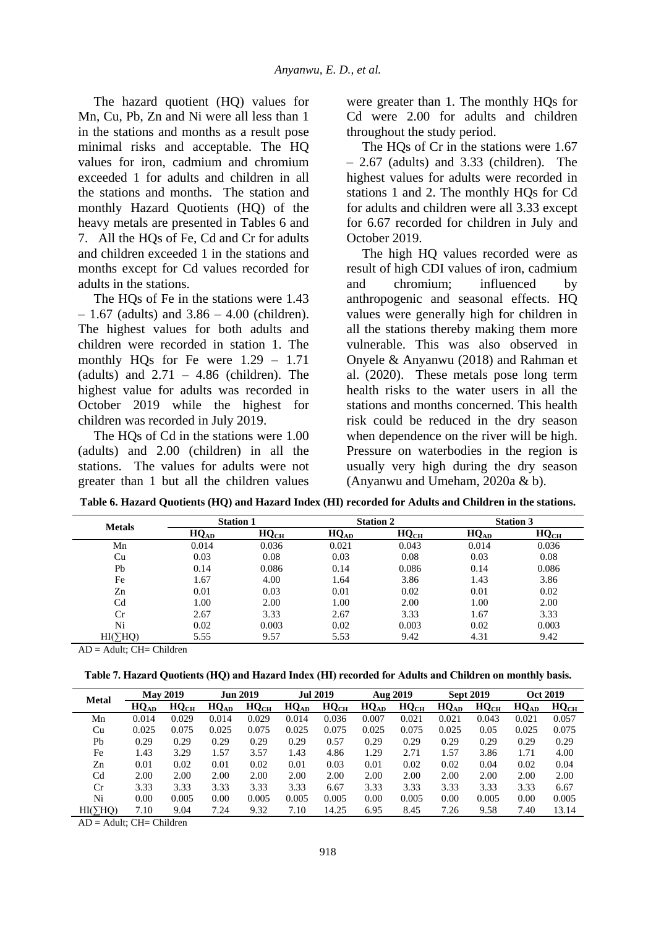The hazard quotient (HQ) values for Mn, Cu, Pb, Zn and Ni were all less than 1 in the stations and months as a result pose minimal risks and acceptable. The HQ values for iron, cadmium and chromium exceeded 1 for adults and children in all the stations and months. The station and monthly Hazard Quotients (HQ) of the heavy metals are presented in Tables 6 and 7. All the HQs of Fe, Cd and Cr for adults and children exceeded 1 in the stations and months except for Cd values recorded for adults in the stations.

The HQs of Fe in the stations were 1.43  $-1.67$  (adults) and  $3.86 - 4.00$  (children). The highest values for both adults and children were recorded in station 1. The monthly HQs for Fe were 1.29 – 1.71 (adults) and  $2.71 - 4.86$  (children). The highest value for adults was recorded in October 2019 while the highest for children was recorded in July 2019.

The HQs of Cd in the stations were 1.00 (adults) and 2.00 (children) in all the stations. The values for adults were not greater than 1 but all the children values were greater than 1. The monthly HQs for Cd were 2.00 for adults and children throughout the study period.

The HQs of Cr in the stations were 1.67 – 2.67 (adults) and 3.33 (children). The highest values for adults were recorded in stations 1 and 2. The monthly HQs for Cd for adults and children were all 3.33 except for 6.67 recorded for children in July and October 2019.

The high HQ values recorded were as result of high CDI values of iron, cadmium and chromium; influenced by anthropogenic and seasonal effects. HQ values were generally high for children in all the stations thereby making them more vulnerable. This was also observed in Onyele & Anyanwu (2018) and Rahman et al. (2020). These metals pose long term health risks to the water users in all the stations and months concerned. This health risk could be reduced in the dry season when dependence on the river will be high. Pressure on waterbodies in the region is usually very high during the dry season (Anyanwu and Umeham, 2020a & b).

| <b>Metals</b> |                     | <b>Station 1</b> |           | <b>Station 2</b> | <b>Station 3</b> |                  |  |  |  |
|---------------|---------------------|------------------|-----------|------------------|------------------|------------------|--|--|--|
|               | ${\rm HQ}_{\rm AD}$ | $HQ_{CH}$        | $HQ_{AD}$ | $HQ_{CH}$        | $HQ_{AD}$        | HQ <sub>CH</sub> |  |  |  |
| Mn            | 0.014               | 0.036            | 0.021     | 0.043            | 0.014            | 0.036            |  |  |  |
| Cu            | 0.03                | 0.08             | 0.03      | 0.08             | 0.03             | 0.08             |  |  |  |
| Pb            | 0.14                | 0.086            | 0.14      | 0.086            | 0.14             | 0.086            |  |  |  |
| Fe            | 1.67                | 4.00             | 1.64      | 3.86             | 1.43             | 3.86             |  |  |  |
| Zn            | 0.01                | 0.03             | 0.01      | 0.02             | 0.01             | 0.02             |  |  |  |
| Cd            | 00.1                | 2.00             | .00.      | 2.00             | .00              | 2.00             |  |  |  |

Cr 2.67 3.33 2.67 3.33 2.67 3.33 1.67 3.33 Ni 0.02 0.003 0.02 0.003 0.02 0.003 HI( $\text{CHQ}$ ) 5.55 9.57 5.53 9.42 4.31 9.42

**Table 6. Hazard Quotients (HQ) and Hazard Index (HI) recorded for Adults and Children in the stations.**

 $AD = Adult$ :  $CH = Children$ 

|                |           |                  | <b>Jun 2019</b>    |                  |           |                 |           |                  | <b>Sept 2019</b>   |                  | Oct 2019  |                  |
|----------------|-----------|------------------|--------------------|------------------|-----------|-----------------|-----------|------------------|--------------------|------------------|-----------|------------------|
| <b>Metal</b>   |           | <b>May 2019</b>  |                    |                  |           | <b>Jul 2019</b> |           | Aug 2019         |                    |                  |           |                  |
|                | $HQ_{AD}$ | HQ <sub>CH</sub> | $HQ$ <sub>AD</sub> | HQ <sub>CH</sub> | $HQ_{AD}$ | $HQ_{CH}$       | $HQ_{AD}$ | HQ <sub>CH</sub> | $HQ$ <sub>AD</sub> | HQ <sub>CH</sub> | $HQ_{AD}$ | HQ <sub>CH</sub> |
| Mn             | 0.014     | 0.029            | 0.014              | 0.029            | 0.014     | 0.036           | 0.007     | 0.021            | 0.021              | 0.043            | 0.021     | 0.057            |
| Cu             | 0.025     | 0.075            | 0.025              | 0.075            | 0.025     | 0.075           | 0.025     | 0.075            | 0.025              | 0.05             | 0.025     | 0.075            |
| Pb             | 0.29      | 0.29             | 0.29               | 0.29             | 0.29      | 0.57            | 0.29      | 0.29             | 0.29               | 0.29             | 0.29      | 0.29             |
| Fe             | 1.43      | 3.29             | 1.57               | 3.57             | 1.43      | 4.86            | 1.29      | 2.71             | 1.57               | 3.86             | 1.71      | 4.00             |
| Zn             | 0.01      | 0.02             | 0.01               | 0.02             | 0.01      | 0.03            | 0.01      | 0.02             | 0.02               | 0.04             | 0.02      | 0.04             |
| C <sub>d</sub> | 2.00      | 2.00             | 2.00               | 2.00             | 2.00      | 2.00            | 2.00      | 2.00             | 2.00               | 2.00             | 2.00      | 2.00             |
| Cr             | 3.33      | 3.33             | 3.33               | 3.33             | 3.33      | 6.67            | 3.33      | 3.33             | 3.33               | 3.33             | 3.33      | 6.67             |
| Ni             | 0.00      | 0.005            | 0.00               | 0.005            | 0.005     | 0.005           | 0.00      | 0.005            | 0.00               | 0.005            | 0.00      | 0.005            |
| HI(            | 7.10      | 9.04             | 7.24               | 9.32             | 7.10      | 14.25           | 6.95      | 8.45             | 7.26               | 9.58             | 7.40      | 13.14            |

 $AD = Adult$ :  $CH = Children$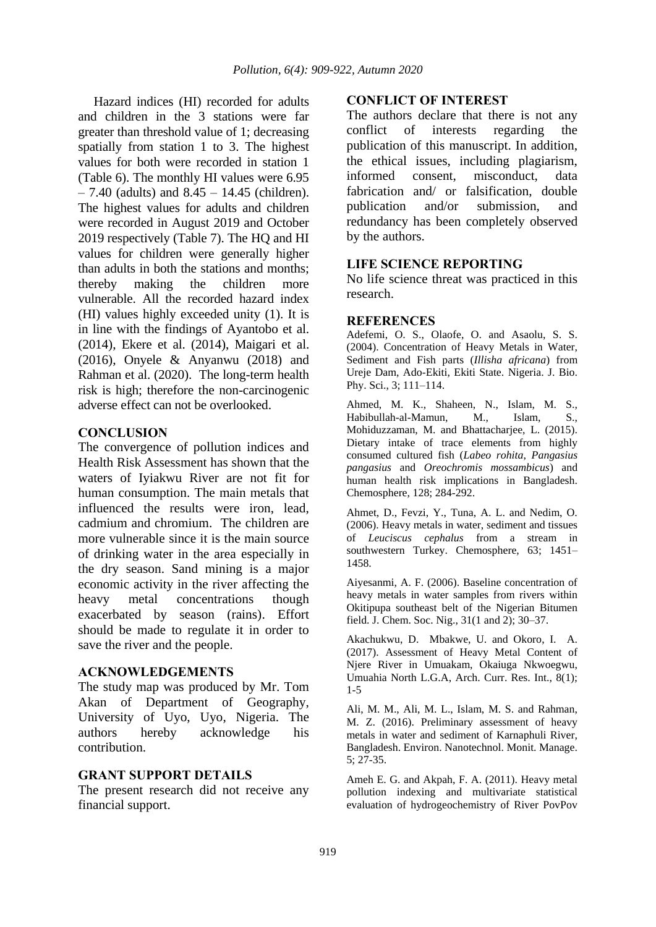Hazard indices (HI) recorded for adults and children in the 3 stations were far greater than threshold value of 1; decreasing spatially from station 1 to 3. The highest values for both were recorded in station 1 (Table 6). The monthly HI values were 6.95  $-7.40$  (adults) and  $8.45 - 14.45$  (children). The highest values for adults and children were recorded in August 2019 and October 2019 respectively (Table 7). The HO and HI values for children were generally higher than adults in both the stations and months; thereby making the children more vulnerable. All the recorded hazard index (HI) values highly exceeded unity (1). It is in line with the findings of Ayantobo et al. (2014), Ekere et al. (2014), Maigari et al. (2016), Onyele & Anyanwu (2018) and Rahman et al. (2020). The long-term health risk is high; therefore the non-carcinogenic adverse effect can not be overlooked.

### **CONCLUSION**

The convergence of pollution indices and Health Risk Assessment has shown that the waters of Iyiakwu River are not fit for human consumption. The main metals that influenced the results were iron, lead, cadmium and chromium. The children are more vulnerable since it is the main source of drinking water in the area especially in the dry season. Sand mining is a major economic activity in the river affecting the heavy metal concentrations though exacerbated by season (rains). Effort should be made to regulate it in order to save the river and the people.

#### **ACKNOWLEDGEMENTS**

The study map was produced by Mr. Tom Akan of Department of Geography, University of Uyo, Uyo, Nigeria. The authors hereby acknowledge his contribution.

### **GRANT SUPPORT DETAILS**

The present research did not receive any financial support.

#### **CONFLICT OF INTEREST**

The authors declare that there is not any conflict of interests regarding the publication of this manuscript. In addition, the ethical issues, including plagiarism, informed consent, misconduct, data fabrication and/ or falsification, double publication and/or submission, and redundancy has been completely observed by the authors.

#### **LIFE SCIENCE REPORTING**

No life science threat was practiced in this research.

#### **REFERENCES**

Adefemi, O. S., Olaofe, O. and Asaolu, S. S. (2004). Concentration of Heavy Metals in Water, Sediment and Fish parts (*Illisha africana*) from Ureje Dam, Ado-Ekiti, Ekiti State. Nigeria. J. Bio. Phy. Sci., 3; 111–114.

Ahmed, M. K., Shaheen, N., Islam, M. S., Habibullah-al-Mamun, M., Islam, S., Mohiduzzaman, M. and Bhattacharjee, L. (2015). Dietary intake of trace elements from highly consumed cultured fish (*Labeo rohita*, *Pangasius pangasius* and *Oreochromis mossambicus*) and human health risk implications in Bangladesh. Chemosphere, 128; 284-292.

Ahmet, D., Fevzi, Y., Tuna, A. L. and Nedim, O. (2006). Heavy metals in water, sediment and tissues of *Leuciscus cephalus* from a stream in southwestern Turkey. Chemosphere, 63; 1451– 1458.

Aiyesanmi, A. F. (2006). Baseline concentration of heavy metals in water samples from rivers within Okitipupa southeast belt of the Nigerian Bitumen field. J. Chem. Soc. Nig., 31(1 and 2); 30–37.

Akachukwu, D. Mbakwe, U. and Okoro, I. A. (2017). Assessment of Heavy Metal Content of Njere River in Umuakam, Okaiuga Nkwoegwu, Umuahia North L.G.A, Arch. Curr. Res. Int., 8(1); 1-5

Ali, M. M., Ali, M. L., Islam, M. S. and Rahman, M. Z. (2016). Preliminary assessment of heavy metals in water and sediment of Karnaphuli River, Bangladesh. Environ. Nanotechnol. Monit. Manage. 5; 27-35.

Ameh E. G. and Akpah, F. A. (2011). Heavy metal pollution indexing and multivariate statistical evaluation of hydrogeochemistry of River PovPov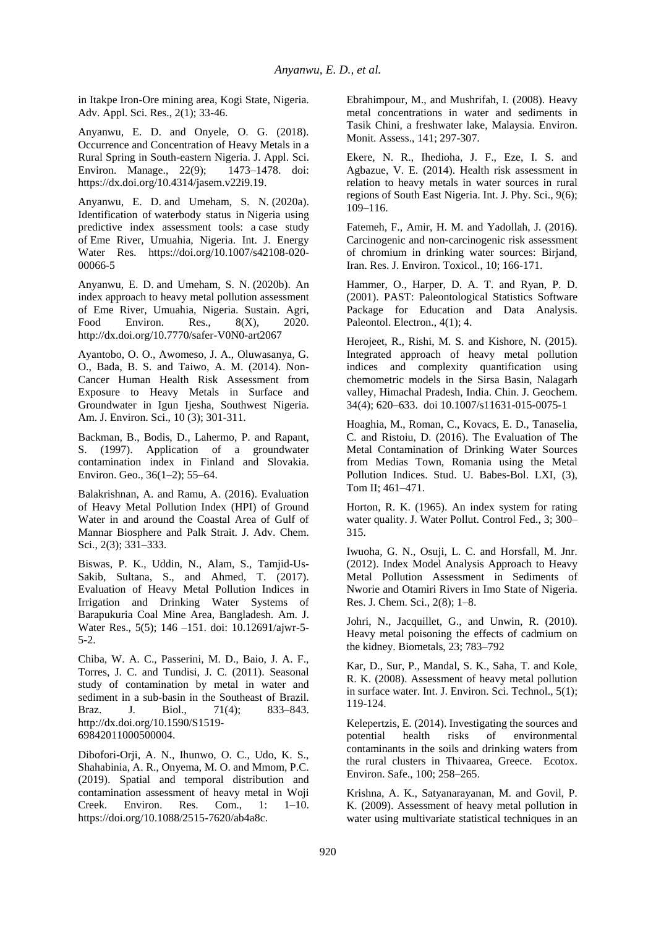in Itakpe Iron-Ore mining area, Kogi State, Nigeria. Adv. Appl. Sci. Res., 2(1); 33-46.

Anyanwu, E. D. and Onyele, O. G. (2018). Occurrence and Concentration of Heavy Metals in a Rural Spring in South-eastern Nigeria. J. Appl. Sci. Environ. Manage., 22(9); 1473–1478. doi: https://dx.doi.org/10.4314/jasem.v22i9.19.

Anyanwu, E. D. and Umeham, S. N. (2020a). Identification of waterbody status in Nigeria using predictive index assessment tools: a case study of Eme River, Umuahia, Nigeria. Int. J. Energy Water Res. https://doi.org/10.1007/s42108-020- 00066-5

Anyanwu, E. D. and Umeham, S. N. (2020b). An index approach to heavy metal pollution assessment of Eme River, Umuahia, Nigeria. Sustain. Agri, Food Environ. Res., 8(X), 2020. http://dx.doi.org/10.7770/safer-V0N0-art2067

Ayantobo, O. O., Awomeso, J. A., Oluwasanya, G. O., Bada, B. S. and Taiwo, A. M. (2014). Non-Cancer Human Health Risk Assessment from Exposure to Heavy Metals in Surface and Groundwater in Igun Ijesha, Southwest Nigeria. Am. J. Environ. Sci., 10 (3); 301-311.

Backman, B., Bodis, D., Lahermo, P. and Rapant, S. (1997). Application of a groundwater contamination index in Finland and Slovakia. Environ. Geo., 36(1–2); 55–64.

Balakrishnan, A. and Ramu, A. (2016). Evaluation of Heavy Metal Pollution Index (HPI) of Ground Water in and around the Coastal Area of Gulf of Mannar Biosphere and Palk Strait. J. Adv. Chem. Sci., 2(3); 331–333.

Biswas, P. K., Uddin, N., Alam, S., Tamjid-Us-Sakib, Sultana, S., and Ahmed, T. (2017). Evaluation of Heavy Metal Pollution Indices in Irrigation and Drinking Water Systems of Barapukuria Coal Mine Area, Bangladesh. Am. J. Water Res., 5(5); 146 –151. doi: 10.12691/ajwr-5- 5-2.

Chiba, W. A. C., Passerini, M. D., Baio, J. A. F., Torres, J. C. and Tundisi, J. C. (2011). Seasonal study of contamination by metal in water and sediment in a sub-basin in the Southeast of Brazil. Braz. J. Biol., 71(4); 833–843. http://dx.doi.org/10.1590/S1519- 69842011000500004.

Dibofori-Orji, A. N., Ihunwo, O. C., Udo, K. S., Shahabinia, A. R., Onyema, M. O. and Mmom, P.C. (2019). Spatial and temporal distribution and contamination assessment of heavy metal in Woji Creek. Environ. Res. Com., 1: 1–10. https://doi.org/10.1088/2515-7620/ab4a8c.

Ebrahimpour, M., and Mushrifah, I. (2008). Heavy metal concentrations in water and sediments in Tasik Chini, a freshwater lake, Malaysia. Environ. Monit. Assess., 141; 297-307.

Ekere, N. R., Ihedioha, J. F., Eze, I. S. and Agbazue, V. E. (2014). Health risk assessment in relation to heavy metals in water sources in rural regions of South East Nigeria. Int. J. Phy. Sci., 9(6); 109–116.

Fatemeh, F., Amir, H. M. and Yadollah, J. (2016). Carcinogenic and non-carcinogenic risk assessment of chromium in drinking water sources: Birjand, Iran. Res. J. Environ. Toxicol., 10; 166-171.

Hammer, O., Harper, D. A. T. and Ryan, P. D. (2001). PAST: Paleontological Statistics Software Package for Education and Data Analysis. Paleontol. Electron., 4(1); 4.

Herojeet, R., Rishi, M. S. and Kishore, N. (2015). Integrated approach of heavy metal pollution indices and complexity quantification using chemometric models in the Sirsa Basin, Nalagarh valley, Himachal Pradesh, India. Chin. J. Geochem. 34(4); 620–633. doi 10.1007/s11631-015-0075-1

Hoaghia, M., Roman, C., Kovacs, E. D., Tanaselia, C. and Ristoiu, D. (2016). The Evaluation of The Metal Contamination of Drinking Water Sources from Medias Town, Romania using the Metal Pollution Indices. Stud. U. Babes-Bol. LXI, (3), Tom II; 461–471.

Horton, R. K. (1965). An index system for rating water quality. J. Water Pollut. Control Fed., 3; 300– 315.

Iwuoha, G. N., Osuji, L. C. and Horsfall, M. Jnr. (2012). Index Model Analysis Approach to Heavy Metal Pollution Assessment in Sediments of Nworie and Otamiri Rivers in Imo State of Nigeria. Res. J. Chem. Sci., 2(8); 1–8.

Johri, N., Jacquillet, G., and Unwin, R. (2010). Heavy metal poisoning the effects of cadmium on the kidney. Biometals, 23; 783–792

Kar, D., Sur, P., Mandal, S. K., Saha, T. and Kole, R. K. (2008). Assessment of heavy metal pollution in surface water. Int. J. Environ. Sci. Technol., 5(1); 119-124.

Kelepertzis, E. (2014). Investigating the sources and potential health risks of environmental contaminants in the soils and drinking waters from the rural clusters in Thivaarea, Greece. Ecotox. Environ. Safe., 100; 258–265.

Krishna, A. K., Satyanarayanan, M. and Govil, P. K. (2009). Assessment of heavy metal pollution in water using multivariate statistical techniques in an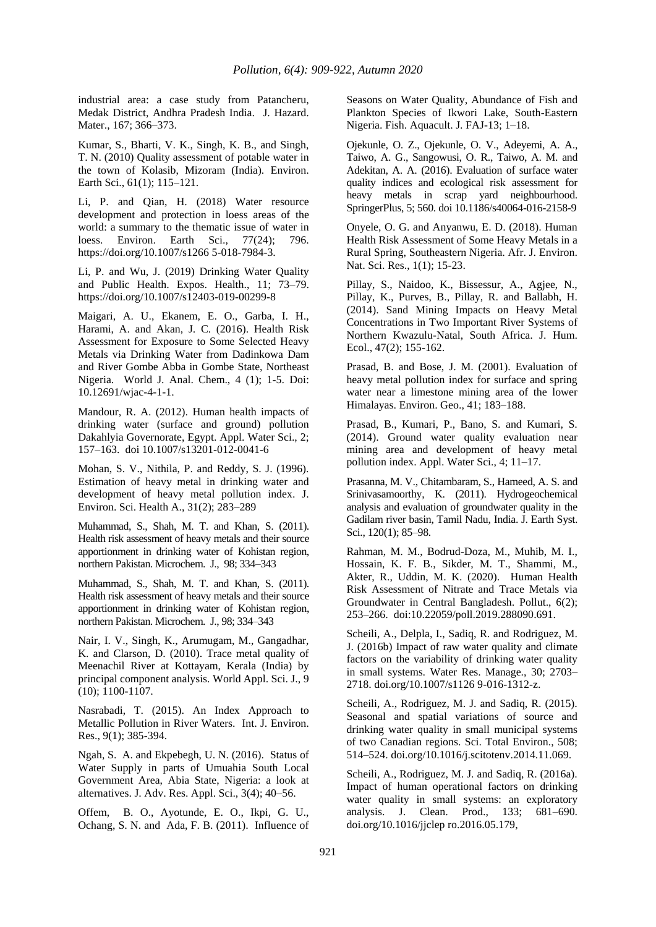industrial area: a case study from Patancheru, Medak District, Andhra Pradesh India. J. Hazard. Mater., 167; 366–373.

Kumar, S., Bharti, V. K., Singh, K. B., and Singh, T. N. (2010) Quality assessment of potable water in the town of Kolasib, Mizoram (India). Environ. Earth Sci., 61(1); 115–121.

Li, P. and Qian, H. (2018) Water resource development and protection in loess areas of the world: a summary to the thematic issue of water in loess. Environ. Earth Sci., 77(24); 796. https://doi.org/10.1007/s1266 5-018-7984-3.

Li, P. and Wu, J. (2019) Drinking Water Quality and Public Health. Expos. Health., 11; 73–79. https://doi.org/10.1007/s12403-019-00299-8

Maigari, A. U., Ekanem, E. O., Garba, I. H., Harami, A. and Akan, J. C. (2016). Health Risk Assessment for Exposure to Some Selected Heavy Metals via Drinking Water from Dadinkowa Dam and River Gombe Abba in Gombe State, Northeast Nigeria. World J. Anal. Chem., 4 (1); 1-5. Doi: 10.12691/wjac-4-1-1.

Mandour, R. A. (2012). Human health impacts of drinking water (surface and ground) pollution Dakahlyia Governorate, Egypt. Appl. Water Sci., 2; 157–163. doi 10.1007/s13201-012-0041-6

Mohan, S. V., Nithila, P. and Reddy, S. J. (1996). Estimation of heavy metal in drinking water and development of heavy metal pollution index. J. Environ. Sci. Health A., 31(2); 283–289

Muhammad, S., Shah, M. T. and Khan, S. (2011). Health risk assessment of heavy metals and their source apportionment in drinking water of Kohistan region, northern Pakistan. Microchem. J., 98; 334–343

Muhammad, S., Shah, M. T. and Khan, S. (2011). Health risk assessment of heavy metals and their source apportionment in drinking water of Kohistan region, northern Pakistan. Microchem. J., 98; 334–343

Nair, I. V., Singh, K., Arumugam, M., Gangadhar, K. and Clarson, D. (2010). Trace metal quality of Meenachil River at Kottayam, Kerala (India) by principal component analysis. World Appl. Sci. J., 9 (10); 1100-1107.

Nasrabadi, T. (2015). An Index Approach to Metallic Pollution in River Waters. Int. J. Environ. Res., 9(1); 385-394.

Ngah, S. A. and Ekpebegh, U. N. (2016). Status of Water Supply in parts of Umuahia South Local Government Area, Abia State, Nigeria: a look at alternatives. J. Adv. Res. Appl. Sci., 3(4); 40–56.

Offem, B. O., Ayotunde, E. O., Ikpi, G. U., Ochang, S. N. and Ada, F. B. (2011). Influence of Seasons on Water Quality, Abundance of Fish and Plankton Species of Ikwori Lake, South-Eastern Nigeria. Fish. Aquacult. J. FAJ-13; 1–18.

Ojekunle, O. Z., Ojekunle, O. V., Adeyemi, A. A., Taiwo, A. G., Sangowusi, O. R., Taiwo, A. M. and Adekitan, A. A. (2016). Evaluation of surface water quality indices and ecological risk assessment for heavy metals in scrap yard neighbourhood. SpringerPlus, 5; 560. doi 10.1186/s40064-016-2158-9

Onyele, O. G. and Anyanwu, E. D. (2018). Human Health Risk Assessment of Some Heavy Metals in a Rural Spring, Southeastern Nigeria. Afr. J. Environ. Nat. Sci. Res., 1(1); 15-23.

Pillay, S., Naidoo, K., Bissessur, A., Agjee, N., Pillay, K., Purves, B., Pillay, R. and Ballabh, H. (2014). Sand Mining Impacts on Heavy Metal Concentrations in Two Important River Systems of Northern Kwazulu-Natal, South Africa. J. Hum. Ecol., 47(2); 155-162.

Prasad, B. and Bose, J. M. (2001). Evaluation of heavy metal pollution index for surface and spring water near a limestone mining area of the lower Himalayas. Environ. Geo., 41; 183–188.

Prasad, B., Kumari, P., Bano, S. and Kumari, S. (2014). Ground water quality evaluation near mining area and development of heavy metal pollution index. Appl. Water Sci., 4; 11–17.

Prasanna, M. V., Chitambaram, S., Hameed, A. S. and Srinivasamoorthy, K. (2011). Hydrogeochemical analysis and evaluation of groundwater quality in the Gadilam river basin, Tamil Nadu, India. J. Earth Syst. Sci., 120(1); 85–98.

Rahman, M. M., Bodrud-Doza, M., Muhib, M. I., Hossain, K. F. B., Sikder, M. T., Shammi, M., Akter, R., Uddin, M. K. (2020). Human Health Risk Assessment of Nitrate and Trace Metals via Groundwater in Central Bangladesh. Pollut., 6(2); 253–266. doi:10.22059/poll.2019.288090.691.

Scheili, A., Delpla, I., Sadiq, R. and Rodriguez, M. J. (2016b) Impact of raw water quality and climate factors on the variability of drinking water quality in small systems. Water Res. Manage., 30; 2703– 2718. doi.org/10.1007/s1126 9-016-1312-z.

Scheili, A., Rodriguez, M. J. and Sadiq, R. (2015). Seasonal and spatial variations of source and drinking water quality in small municipal systems of two Canadian regions. Sci. Total Environ., 508; 514–524. doi.org/10.1016/j.scitotenv.2014.11.069.

Scheili, A., Rodriguez, M. J. and Sadiq, R. (2016a). Impact of human operational factors on drinking water quality in small systems: an exploratory analysis. J. Clean. Prod., 133; 681–690. doi.org/10.1016/jjclep ro.2016.05.179,